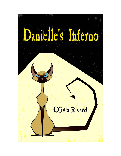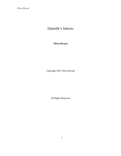## Danielle's Inferno

**Olivia Rivard**

Copyright 2015 Olivia Rivard

All Rights Reserved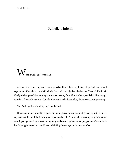## Danielle's Inferno

 $\boldsymbol{\mathcal{W}}$  hen I woke up, I was dead.

At least, it very much appeared that way. When I looked past my kidney-shaped, glass desk and ergonomic office chair, there laid a body that could be only described as me. The dark black hair I had just shampooed that morning was strewn over my face. Plus, the blue pencil skirt I had bought on sale at the Nordstrom's Rack outlet that was bunched around my knees was a dead giveaway.

"Oh God, my first after-life pun," I said aloud.

Of course, no one turned to respond to me. My boss, the oh-so-sweet geeky guy with the desk adjacent to mine, and the first responder paramedics didn't so much as look my way. My blouse was ripped open as they worked on my body, and one of my breasts had popped out of the miracle bra. My nipple looked around like an unblinking, brown eye on too much coffee.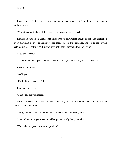I winced and regretted that no one had shooed the men away yet. Sighing, I covered my eyes in embarrassment.

"Yeah, this might take a while," said a small voice next to my feet.

I looked down to find a Siamese cat sitting with its tail wrapped around its feet. The cat looked up at me with blue eyes and an expression that seemed a little annoyed. She looked the way all cats looked most of the time, like they were infinitely exacerbated with everyone.

"You can see me?"

"A talking cat just approached the specter of your dying soul, and you ask if I can see you?"

I paused a moment.

"Well, yes."

"I'm looking at you, aren't I?"

I nodded, confused.

"Then I can see you, moron."

My face screwed into a sarcastic frown. Not only did the voice sound like a female, but she sounded like a real bitch.

"Okay, then what are you? Some ghost cat because I'm obviously dead."

"Yeah, okay, not to get too technical but you're mostly dead, Danielle."

"Then what are you, and why are you here?"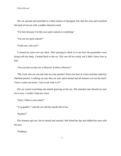The cat yawned and stretched in a fluid motion of disregard. She shut her eyes and scratched the back of one ear with a sudden obsessive need.

"I'm here because I'm like your spirit animal or something."

"*You* are my spirit animal?"

"Yeah sure, why not?"

I crossed my arms over my chest. After pausing to check in to see how the paramedics were doing with my body, I looked back to the cat. This was all too weird, and I didn't know how to feel.

"Are you here to take me to Heaven? Is there a Heaven?"

"My Lord, who are you and who are your parents? Were you born in a barn and then raised by Shetland ponies? A talking cat says they are your spirit animal and all manners run out the door? I have a name you know. Care to ask what it is?"

The cat ceased scratching and started gnawing on her toe. She smacked and chewed on each toe in turn. I couldn't help but wince.

"Sorry. What is your name?"

"G-g-guddin'," said the cat with her mouth full of toe.

"Pardon?"

The Siamese spit out a bit of toenail and sneezed. She licked her lips and rubbed her nose with her paw.

"Pudding."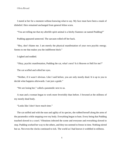I stared at her for a moment without knowing what to say. My face must have been a mask of disbelief. Hers remained unchanged from general feline scorn.

"You are telling me that my afterlife spirit animal is a bitchy Siamese cat named Pudding?"

Pudding appeared unmoved. The sarcasm rolled off her back.

"Hey, don't blame me. I am merely the physical manifestation of your own psychic energy. Seems to me that makes you the indifferent bitch."

I sighed and nodded.

"Okay, psychic manifestation, Pudding the cat, what's next? Is it Heaven or Hell for me?"

The cat scoffed and rolled her eyes.

"Neither, if it wasn't obvious. Like I said before, you are only mostly dead. It is up to you to decide what happens afterwards. I am just a guide."

"We are losing her," called a paramedic next to us.

A man and a woman began to work more feverishly than before. I frowned at the stillness of my mostly dead body.

"Looks like I don't have much time."

The cat sniffed and with the ease and agility of its species, she rubbed herself along the arms of the paramedics while stepping over my body. Everything began to hum. Every being that Pudding touched slowed to a crawl. Vibrations infected the scene and everyone and everything slowed to stop. Pudding worked her way to the others, and they too seemed to freeze in time. Nothing stirred but us. Not even the clocks continued to tick. The world as I had known it wobbled in stillness.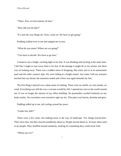"There. Now we have plenty of time."

"How did you do that?"

"It's just the way things are. Now, come on. We have to get going."

Pudding walked over to me and nudged me to turn.

"What do you mean? Where are we going?"

"You have to decide. We have to go now."

I turned to see a bright, swirling light at my feet. It was blinding and inviting at the same time. I felt like I ought to turn away from it for fear of the damage it might do to my retinas, but there was no looking away. There was a sudden sense of dropping, like when you're at an amusement park and the roller coasters dips. We were falling in a bright tunnel. Just when I felt my stomach lurched into my throat, the sensation ended and a floor was again beneath my feet.

The first thing I noticed was a deep sense of nothing. There were no smells, no real sounds, no wind. Everything was still the way a vacuum would be still. I opened my eyes to the world around me. It was no longer the interior of my office building. No paramedics worked tirelessly on my body nearby. No coworkers were around to ogle my tits. This place was barren, desolate and grey.

Pudding sidled up to me, tail curling around her paws.

"Looks fun, huh?"

There were a few rocks, but nothing more in the way of landscape. Yet, things moved here. They were slow, but they moved soundlessly about us. People moved about us. At least, these used to be people. They shuffled around aimlessly, looking for something they could never find.

"Where are we?"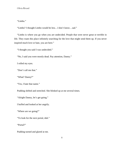"Limbo."

"Limbo? I thought Limbo would be less…I don't know…sad."

"Limbo is where you go when you are undecided. People that were never great or terrible in life. They roam this place infinitely searching for the love that might send them up. If you never inspired much love or hate, you are here."

"I thought you said I was undecided."

"No, I said you were mostly dead. Pay attention, Danny."

I rolled my eyes.

"Don't call me that."

"What? Danny?"

"Yes, I hate that name."

Pudding shifted and stretched. She blinked up at me several times.

"Alright Danny, let's get going."

I huffed and looked at her angrily.

"Where are we going?"

"To look for the next portal, duh."

"Portal?"

Pudding turned and glared at me.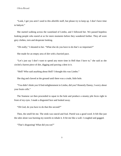"Look, I get you aren't used to this afterlife stuff, but please try to keep up. I don't have time to babysit."

She started walking across the wasteland of Limbo, and I followed her. We passed hopeless looking people who stared at us for mere moments before they wandered further. They all wore grey clothes, torn and desperate looking.

"Oh really," I shouted to her. "What else do you have to do that's so important?"

She made for an empty area of dirt with a hurried pace.

"Let's just say I don't want to spend any more time in Hell than I have to," she said as she circled a barren piece of dirt, digging and pawing a dent in it.

"Hell? Who said anything about Hell? I thought this was Limbo."

She dug and clawed at the ground until there was a crude, little hole.

"You didn't think you'd find enlightenment in Limbo, did you? Honestly Danny, I worry about your brain cells."

The Siamese cat then proceeded to squat in the hole and produce a steamy pile feces right in front of my eyes. I made a disgusted face and looked away.

"Oh God, do you have to do that this second?"

Then, the smell hit me. The stink was rancid and foul. Putrid was a good word. It felt like just the odor alone was burning my nostrils to inhale it. It hit me like a wall. I coughed and gagged.

"That's disgusting! What did you eat?"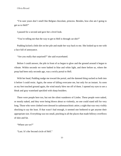"I'm sure yours don't smell like Belgian chocolate, princess. Besides, how else am I going to get us to Hell?"

I paused for a second and gave her a level look.

"You're telling me that the way to get to Hell is through cat shit?"

Pudding kicked a little dirt on her pile and made her way back to me. She looked up to me with a face full of annoyance.

"Are you really that surprised?" she said exacerbated.

Before I could answer, the pile in front of us began to glow and the ground around it began to vibrate. Within seconds we were bathed in blue and white light, and there before us, where the poop had been only seconds ago, was a swirly portal to Hell.

With her head, Pudding nudge me toward the portal, and the damned thing sucked us both into it before I could resist. Again, the sense of falling overcame me, but only for an instant. As soon as my feet touched ground again, the wind nearly blew me off of them. I opened my eyes to see a bleak and gray wasteland speckled with sharp boulders.

There were people here too, but not the silent wanderers of Limbo. These people were naked, or mostly naked, and they were being blown about so violently, no one could stand still for very long. Those who were clothed were dressed in sadomasochistic attire; a sight that was very visibly shocking to say the least. If that wasn't bad enough, it seemed one bothered to get anyone their appropriate size. Everything was too small, pinching in all the places that made billowy overflows of skin and fat.

"Where are we?"

"Lust. It's the Second circle of Hell."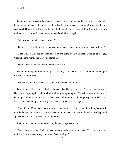People ran toward each other, trying desperately to grope one another or embrace, only to be blown away and smashed against a boulder. Limbs flew everywhere along with bondage leather and blood. However, within seconds, their limbs would mend and their blood seeped back into their veins just in time for them to come to and do it all over again.

"Why doesn't the wind blow us around?"

"Because you don't belong here. You can experience things, but nothing here can hurt you."

"Then why…" I started but was cut off by the sight of an older man, wrinkled and saggy, wearing a pink nighty and argyle trouser socks.

"Hello," he said in a way that made my skin crawl.

He looked me up and down like a piece of candy he wanted to lick. I shuddered and wrapped my arms around myself.

"Bugger off, Senator. She isn't for you," said a voice behind me.

I turned to see what I could only describe as a red and busty demon in a Playboy bunny costume. Her hair was spun up into a bun with little bunny ears poking out. Her skirt was so short most of her ass peaked out the bottom and her blouse cut so low, I think only her pointy nipples held it up. In her hand she held up a silver tray with several bottles of Poors Light.

She took one off, handed it to the man, and blew him a kiss. The kiss sent him flying backwards until he landed hard against a rock with a smile on his face. The beer bottle and his skull splatted against the stone in a spray of amber and blood.

I winced and then marveled as his body began to regenerate itself.

"Sorry about that, love," said the busty demon holding the tray of beer. "The ones who bring their own costumes are always the worst. Sneaky things."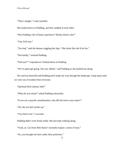"That's alright," I said carefully.

She looked down at Pudding, and they nodded at each other.

"Hey Pudding. Out of body experience? Mostly dead is she?"

"Yep. Full tour."

"Too bad," said the demon wiggling her hips. "She looks like she'd be fun."

"Not hardly," retorted Pudding.

"Full tour?" I repeated as I looked down at Pudding.

"We've gotta get going. See you, Bettie," said Pudding as she pushed me along.

We said our farewells and Pudding and I made our way through the landscape. I kept quiet until we were out of earshot from everyone.

"Spiritual bitch animal, huh?"

"What do you mean?" asked Pudding innocently.

"If you are a psychic manifestation, why did she know your name?"

"Ah, the wiz kid catches up."

"You lied to me," I accused.

Pudding didn't even break stride. She just kept walking along.

"Yeah, so. Cat from Hell doesn't normally inspire a sense of trust."

"So, you brought me here under false pretenses."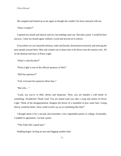She stopped and looked up at me again as though she couldn't be more annoyed with me.

"Does it matter?"

I opened my mouth and almost said yes, but nothing came out. She had a point. I would be here anyway. I shut my mouth again without a word and moved on in silence.

Everywhere we saw beautiful demons, male and female, dressed provocatively and enticing the poor people around them. Men and women ran to them only to be blown into the nearest rock. All of the demons had trays of Poors Light.

"What's with the beer?"

"Poors Light is one of the official sponsors of Hell."

"Hell has sponsors?"

"Girl, everyone has sponsors these days."

"But why…"

"Look, say you're in Hell, thirsty and desperate. Then, you are handed a cold bottle of something. Wonderful! Thank God! You are elated until you take a swig and realize its Poors Light. Think of the disappointment. Imagine the horror of a mouthful of piss water beer. Going thirsty would be better. How could Lucifer say no to something like that?"

I thought about it for a second, and remember a few regrettable parties in college. Eventually, I nodded in agreement. Cat had a point.

"This looks like a good spot."

Pudding began circling an area and digging another hole.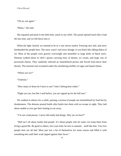"Oh no, not again."

"Relax," she said.

She squatted and peed in the little hole, much to my relief. The portal opened much like it had the last time, and we fell down into it.

When the light cleared, we seemed to be in a vast snowy tundra. Freezing rain, hail, and snow bombarded the people here. The snow wasn't real snow though. It was black like falling flakes of oil. Most of the people were grossly overweight and immobile in large drifts of black snow. Demons walked about in chef's aprons carrying trays of donuts, ice cream, and large vats of processed cheese. They randomly selected an immobilized person and forced food down their throats. The tortured soul screamed under the smothering muffler of sugar and liquid cheese.

"Where are we?"

"Gluttony."

"How many of these do I have to see? I don't belong here either."

"Right you are, but like I said before, you are signed up for the full tour."

We walked in silence for a while, passing a section of people not immobilized by food but by drunkenness. The demons poured bottle after bottle into them with no escape in sight. They laid about unable to ever get their footing to run away.

"I'm not a bad person. I never did really bad things. Why are we here?"

"Hell isn't all about totally bad people. It's about people who let some vice keep them from living a good life. Be good to others, love your kids, be nice to animals…stuff like that. Very few people here are all bad. Most just lost a bit of themselves for some reason and filled it with something else until their scale tipped against their favor."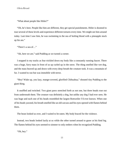"What about people like Hitler?"

"Oh, he's here. People like him are different, they get special punishments. Hitler is doomed to tour several of these levels and experience different tortures every time. We might see him around today. Last time I saw him, he was swimming in the sea of boiling blood with a pineapple stuck up his ass."

"There's a sea of…"

"Ah, here we are," said Pudding as we turned a corner.

I stopped in my tracks as fear trickled down my body like a constantly running faucet. There was a huge, furry mass in front of us up curled up in the snow. The thing smelled like wet dog, and the mass heaved up and down with every deep breath the creature took. It was a mountain of fur. I wanted to run but was immobile with terror.

"Hey! Wake up, you lazy, mange-covered, glorified Chihuahua," shouted tiny Pudding to the giant thing.

It snuffled and twitched. Two giant paws stretched forth as not one, but three heads rose out from underneath them. The creature was definitely a dog, but unlike any dog I had ever seen. He was huge and each one of his heads resembled the largest Rottweiler I'd ever known. When one of his heads yawned, his breath smelled like an old carcass and his eyes opened with flames behind them.

The beast looked us over, and I waited to be eaten. My body braced for the violence.

Instead, two heads looked lazily at us while the other turned around to gnaw at his hind leg. The flames behind his eyes seemed to simmer to only embers when he recognized Pudding.

"Oh, hey."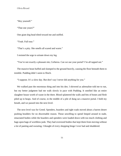"Hey yourself."

"That one yours?"

One giant dog head tilted toward me and sniffed.

"Yeah. Full tour."

"That's a pity. She smells all scared and warm."

I resisted the urge to urinate down my leg.

"You're not exactly a pleasant site, Cerberus. Can we use your portal? I'm all tapped out."

The massive beast huffed and slumped to the ground heavily, causing the floor beneath them to tremble. Pudding didn't seem to flinch.

"I suppose. It's a slow day. But don't say I never did anything for you."

We walked past the enormous thing and into his den. I shivered as adrenaline told me to run, but my better judgment had me walk slowly in pace with Pudding. It smelled like an entire slaughter house worth of waste in the there. Blood splattered the walls and bits of bones and flesh piled up in heaps. And of course, in the middle of a pile of dung sat a massive portal. I held my breath, and we passed into the next level.

The next level was for Greed. Spenders, hoarders and tight wads moved about a barren desert pushing boulders for no discernable reason. Those unwilling to spend limped around in nude, emaciated bodies while the hoarders and spenders were loaded down with too much clothing and bags upon bags of worthless junk. They had oversized bodies that kept them from moving without a lot of panting and sweating. I thought of every shopping binge I ever had and shuddered.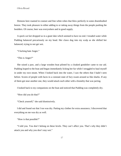Demons here roamed in couture and fine white robes that blew perfectly in some disembodied breeze. They took pleasure in either adding to or taking away things from the people pushing the boulders. Of course, beer was everywhere and in good supply.

A quick cat fart dropped us in a giant lake which seemed to have no end. I treaded water while Pudding balanced precariously on my head. Her claws dug into my scalp as she shifted her balanced, trying to not get wet.

"I fucking hate Anger."

"This is Anger?"

She raised a paw, and a large wooden boat piloted by a cloaked gondolier came to our aid. Pudding leaped to the boat and began immediately licking her fur while I struggled to haul myself in under my own steam. When I looked back into the water, I saw the others that I hadn't seen before. Scores of people with faces in a constant state of fury swam around us like sharks. If any of them got near another one, they would attack each other with a brutality that was jarring.

I looked back to my companions on the boat and noticed that Pudding was completely dry.

"How did you do that?"

"Check yourself," she said dismissively.

I did and found out that I too was dry. Patting my clothes for extra assurance, I discovered that everything on me was dry as well.

"How is that possible?"

"I told you. You don't belong on these levels. They can't affect you. That's why they didn't attack you and why you don't stay wet."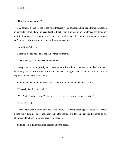"How far are you going?"

This came as a shock to me as the voice that said it was smooth and kind and from no direction in particular. I looked around us and realized that I hadn't noticed or acknowledged the gondolier until that moment. The gondolier, of course, was a fully cloaked skeleton. He was looking down at Pudding. I only knew because his skull was pointed at her.

"A full tour," she said.

The skull looked back up at me and opened his mouth.

"That's rough," said the disembodied voice.

"Okay, I've had enough. Why am I here? What is this full tour business? If I'm dead or mostly dead, why am I in Hell? I mean, I'm no saint, but I'm a good person. Whatever epiphany I'm supposed to have here is lost, okay."

Pudding and the gondolier looked each other for a moment and then back at me.

"She really is a full tour, huh?"

"Yep," said Pudding sadly. "Think you can give us a hand with the next portal?"

"Sure. Why not?"

The skeleton bent over the boat and farted loudly. A swirling portal appeared just off the side. I tried really hard not to wonder how a skeleton managed to fart. Enough had happened to me already, and that one would just give me a headache.

Pudding said a quick thanks and leaped into the portal.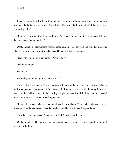I made a motion to follow her with a loud sigh when the gondolier stopped me. He looked into my eyes like he knew something I didn't. Rather his empty skull sockets looked like they knew something I didn't.

"I am very sorry about all this. You know, it's easier than you think to end up here. But, you have a chance. Remember that."

Oddly enough, his disembodied voice sounded very sincere. I softened and smiled at him. This skeleton man was somehow strangely sweet. He reached inside his robes.

"Can I offer you a room temperature Poors Light?"

"Uh, no thank you."

He nodded.

I smiled again before I jumped into the portal.

The next level was Heresy. The ground was solid stone and people were being burned alive in their own personal open graves of fire. Snake haired, winged demons walked among the tombs, occasionally stabbing one of the burning people. A few bored looking demons roasted marshmallows over a couple of writhing sinners.

"I think the screams give the marshmallows the best flavor. That's why I always pick the screamers," said one demon to the other as she rotated her snack over the open flame.

The other demon shrugged. Apparently, he hadn't noticed a difference.

Oddly enough, the Heresy level was not as populated as I thought it might be, and I mentioned as much to Pudding.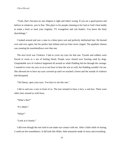"Yeah, that's because no one religion is right and others wrong. If you are a good person and believe in whatever, you're fine. This place is for people claiming to be God or God's best buddy to make a buck or steal your virginity. TV evangelists and cult leaders. You know the kind, douchebags."

I looked around and saw a man in a three piece suit and perfectly shellacked hair. He burned over and over again, but his perfect hair helmet and eye liner never singed. The apathetic demon was roasting his marshmallows over that one.

The next level was Violence. I had to cover my eyes for that one. Tyrants and robbers were forced to swim in a sea of boiling blood. People were chased over burning sand by dogs. Unspeakable acts of violence happened all around us while Pudding led me through the carnage. I wanted to cover my ears so as to not have to hear the acts as well, but Pudding wouldn't let me. She allowed me to have my eyes covered up until we reached a forest and the sounds of violence had dissipated.

"Oh Danny, open your eyes. You have to see this one."

I did so and saw a tree in front of us. The tree seemed to have a face, a sad face. There were other trees around us with faces.

```
"What's this?"
```
"It's Hitler."

"What?"

"Look at it closely."

I did even though the tree tried to not make eye contact with me. After a little while of staring, I could see the resemblance. It did look like Hitler, little mustache made of moss and everything.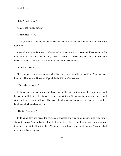"I don't understand."

"This is the suicide forest."

"The suicide forest?"

"Yeah, if you're a suicide, you get to be a tree here. Looks like that's where he is on his misery tour today."

I looked around at the forest. Each tree had a face of some sort. You could hear some of the violence in the distance, but overall, it was peaceful. The trees swayed back and forth with downcast glances and stares to a rhythm no one but they could hear.

"It doesn't seem so bad."

"It's not unless you were a shitty suicide like him. If you just killed yourself, you're a tree here, kind of sad but serene. However, if you killed millions of others too…"

"Then what happens?"

Just then, we heard squawking and three huge, big busted harpies swooped in from the sky and landed on the Hitler tree. He started screaming something in German while they clawed and ripped at his limbs and bark mercilessly. They pecked and scratched and gouged his eyes and he wailed, helpless and with no hope of rescue.

"Ha! Get 'em, girls!"

Pudding laughed and egged the harpies on. I winced and tried to look away, but by the time I started to move, Pudding had peed on the base of the Hitler tree and a swirling portal was now there for us to exit that horrific place. We jumped in without a moment of caution. Anywhere had to be better than that place.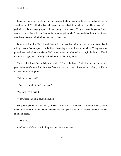Fraud was our next stop. It was an endless desert where people sat buried up to their chests in scorching sand. The blazing heat all around them baked them relentlessly. These were dirty politicians, false diviners, prophets, thieves, pimps and seducers. They all roasted together. Some seemed to burn like wild hot fires, while other singed slowly. I imagined that their level of heat was directly connected with how bad their crimes were.

I didn't ask Pudding. Even though I could feel no heat, just being there made me exhausted and thirsty. I knew I could speak, but the idea of opening my mouth made me wince. This place was painful even to look at as a visitor. Before we moved on, a burned black, spindly demon offered me a Poors Light, and I politely declined with a shake of my head.

The next level was frozen. When we landed, I felt cold all over. Chilled to bone as the saying goes. What a difference this place was from the last one. When I breathed out, it hung visible in front of me for a long time.

"Where are we now?"

"This is the ninth circle, Treachery."

"Wow, it's so different."

"Yeah," said Pudding, sounding sullen.

We passed people as we walked, all were frozen in ice. Some were completely frozen, while others only partially. A few people were even frozen upside down. One of those wore old clothes and had a beard.

"That's Judas."

I nodded. It felt like I was looking at a display in a museum.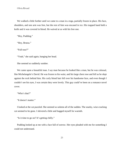We walked a little further until we came to a man in a toga, partially frozen in place. His face, shoulders, and one arm was free, but the rest of him was encased in ice. His trapped hand held a knife and it was covered in blood. He waived at us with his free one.

"Hey, Pudding."

"Hey, Brutus."

"Full tour?"

"Yeah," she said again, hanging her head.

She seemed so suddenly somber.

We came upon a beautiful man. I say man because he looked like a man, but he was colossal, like Michelangelo's David. He was frozen to his waist, and his large chest rose and fell as he slept against the rock behind him. His curly blond hair fell over his handsome face, and even though I couldn't see his eyes, I was certain they were lovely. This guy could've been on a romance novel cover.

"Who's that?"

"It doesn't matter."

I looked at the cat puzzled. She seemed so solemn all of the sudden. The snarky, wise-cracking cat seemed to be gone. I shivered a little and hugged myself for warmth.

"Is it time to go on? It's getting chilly."

Pudding looked up at me with a face full of sorrow. Her eyes pleaded with me for something I could not understand.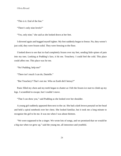"This is it. End of the line."

"There's only nine levels?"

"Yes, only nine," she said as she looked down at her feet.

I shivered again and hugged myself tighter. My feet suddenly began to freeze. No, they weren't just cold, they were frozen solid. They were freezing to the floor.

I looked down to see that ice had completely frozen over my feet, sending little spines of pain into my toes. Looking at Pudding's face, it hit me. Treachery. I could feel the cold. This place could affect me. This place was for me.

"No! Pudding, help me!"

"There isn't much I can do, Danielle."

"But Treachery? That's not me. Who on Earth did I betray?"

Panic filled my chest and my teeth began to chatter as I felt the frozen ice start to climb up my legs. I scrambled to escape, but I couldn't move.

"That I can show you," said Pudding as she looked over her shoulder.

A young girl suddenly appeared then next to the cat. She had a dark brown ponytail on her head and held a spiral notebook over her chest. She looked familiar, but it took me a long minute to recognize the girl to be me. It was me when I was about thirteen.

"We were supposed to be a singer. We wrote lots of songs, and we promised that we would be a big star when we grew up," said the young me, all innocence and youthful.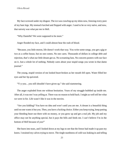My face screwed under my disgust. The ice was crawling up my shins now, freezing every pore of my bare legs. My stomach lurched and flopped with anger. I used to be so very naïve, and now, that naivety was what put me in Hell.

"Why Danielle? We were supposed to be more."

Anger flooded my face, and I could almost hear the rush of blood.

"Because, you little moron, life doesn't work that way. You write some songs, you get a gig or two at a coffee house, but no one comes. No one cares. Thousands of dollars in college debt and rejection, that's what our little dream got us. No screaming fans. No concerts posters with our face on it. Just a whole lot of nothing. Nobody cares about your stupid songs you wrote in that damn journal."

The young, stupid version of me looked heart-broken as her mouth fell open. Water filled her eyes and her lip quivered.

"Y-y-you…you still shouldn't have given up," she said stammering.

The anger exploded from me without hesitation. Years of my struggle bubbled up inside me. After all, it was me I was yelling at. There was no reason to hold back. I might as well tell her what we were in for. Life wasn't like it was in the movies.

"Are you kidding? You have no idea and won't until you are me. A dream is a beautiful thing until no one wants it but you. Then, you have a fucking choice. Either you keep trying, keep putting your bleeding heart out there with no money, or you grow up and get a real job. My job and my office may not be anything special, but it pays the bills and feeds me. I can't believe I'm in the bottom of Hell because of *you*!"

She burst into tears, and I looked down at my legs to see that the freeze had made it up past my knees. I strained my calves trying to move. The tingle numbness of cold was leaking in and telling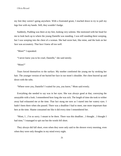my feet they weren't going anywhere. With a frustrated grunt, I reached down to try to pull my legs free with my hands. Still, they wouldn't budge.

Suddenly, Pudding was there at my feet, looking very solemn. She motioned with her head for me to look back up to where the young Danielle was standing. I was still standing there weeping, but I was weeping into the chest of a woman. She had raven hair, like mine, and the look on her face was accusatory. That face I knew all too well.

"Mom?" I squeaked.

"I never knew you to be cruel, Danielle," she said sternly.

"Mom?"

Tears forced themselves to the surface. My mother comforted the young me by stroking her hair. The younger version of me buried her face in our mom's shoulder. Her chest heaved up and down with the sobs.

"Where were you, Danielle? I waited for you, you know," Mom said evenly.

Everything she needed to say was in her eyes. She was always good at that, conveying the unsayable with a look. I remembered how long she was sick. The length of time she took to wither away had exhausted me at the time. That fact stung me now as I stared into her watery eyes. I hadn't been there when she passed. There was a deadline I had to meet, one more important than hers at the time. Shame consumed me like it did every time I remembered her.

"Mom, I…I'm so sorry. I meant to be there. There was this deadline…I thought…I thought I had time," I managed to spit out but the words fell short.

They always did fall short, even when they were only said to the shower every morning, even when they were only thoughts in my mind every night.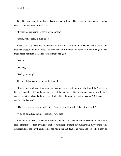I tried to steady myself, but I started crying uncontrollably. The ice was freezing over my thighs now, yet my face was hot with tears.

"It was nice you came for the funeral, honey."

"Mom, I'm so sorry. I'm so so so..."

I was cut off by the sudden appearance of a man next to my mother. He had sandy blond hair that was shaggy around his ears. The man dressed in flannel and denim and had blue grey eyes that pierced me from afar. His presence made me gasp.

"Daddy?"

"Hi, Bug."

"Daddy, but why?"

He looked down at his shoes as if ashamed.

"I miss you, you know. You promised to come see me, but you never do, Bug. I don't mean to be a pest and all, but I'm all alone out there at the lake house. Every summer I get out our fishing gear. I clean the rods and oil the reels. I think, 'this is the year she's going to come.' But you never do, Bug. I miss you."

"Daddy, I have…I'm…busy. My job it's so stressful. I just don't have time. I call."

"You do call, Bug. You do. I just miss your face."

I looked at the group of people in front of me and felt ashamed. My father hung his head and shifted from foot to foot, trying not to show his disappointment. My mother held my younger self, comforting her the way I never comforted her in her last days. The young me wept like a baby at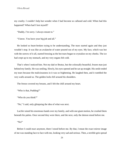my cruelty. I couldn't help but wonder when I had become so callused and cold. When had this happened? When had I lost myself?

"Daddy, I'm sorry. I always meant to."

"I know. You have your big job and all."

He looked so heart-broken trying to be understanding. The tears started again and they just wouldn't stop. It was like an avalanche of water poured out of my eyes. My face, which was hot with the sorrow of it all, started freezing as the hot tears began to crystalize on my cheeks. The ice had crept up to my stomach, and my very organs felt cold.

That's when I noticed him. Not my dad or Brutus, but the colossally beautiful, frozen man just behind my family. He was smiling. Slowly, his eyes opened and he sat up straight. His smile ended my tears because the maliciousness in it was so frightening. He laughed then, and it rumbled the very walls around us. The golden locks fell around his shoulders.

The freeze covered my breasts, and I felt the chill around my heart.

"Who is that, Pudding?"

"Who do you think?"

"No," I said, only glimpsing the idea of what was next.

Lucifer raised his enormous hands over my family, and with one giant motion, he crushed them beneath his palms. Once second they were there, and the next, only the demon stood before me.

"No!"

Before I could react anymore, there I stood before me. By that, I mean the exact mirror image of me was standing face to face with me, looking very sad and serious. Then, a terrible grin spread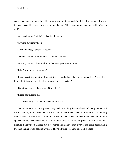across my mirror image's face. Her mouth, my mouth, spread ghoulishly like a cracked mirror from ear to ear. Had I ever looked at anyone that way? Had I ever shown someone a side of me so evil?

"Are you happy, Danielle?" asked the demon me.

"Give me my family back!"

"Are you happy, Danielle? Answer."

There was no relenting. She was a statue of mocking.

"No! No, I'm not. I hate my life. Is that what you want to hear?"

"I don't *want* to hear anything."

"I hate everything about my life. Nothing has worked out like it was supposed to. Please, don't let me die this way. I just do what everyone does. I survive."

"But others smile. Others laugh. Others live."

"Please don't let me die!'

"You are already dead. You have been for years."

The frozen ice was closing around my neck. Breathing became hard and real panic started settling into my body. I knew panic attacks, and this was one of the worst I'd ever felt. Something seemed to kick me in the chest, tightening my heart in a vice. My whole body twitched and revolted against the ice. I screeched like an animal and clawed at my frozen prison like a mad woman. Nothing did any good. The ice just crept higher and higher. I shut my eyes and could hear nothing but the banging of my heart in my head. That's all there was until I heard her voice.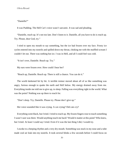## "Danielle?"

It was Pudding. The Hell Cat's voice wasn't sarcastic. It was sad and pleading.

"Danielle, reach up. It's not too late. Don't listen to it. Danielle, all you have to do is reach up. Try. Please, dear God, try."

I tried to open my mouth to say something, but the ice had frozen over my face. Frosty ice cycles entered into my nostrils and spilled down my throat, choking me with the muffled scream I couldn't let out. There was nothing but ice. I was in Hell, and all I could feel was cold.

"It isn't over, Danielle. Reach up. Try."

My ears were frozen over. How could I hear her?

"Reach up, Danielle. Reach up. There is still a chance. You can do it."

The world darkened bit by bit. A terrible tremor moved about all of us like something was angry, furious enough to quake the earth and Hell below. My energy drained away from me. Everything inside me told me to give up, to sleep. Falling was everything right in the world. What was the point? Nothing was up there to reach for.

"Don't sleep. Try, Danielle. Please try. Please don't give up."

Her voice sounded like it was crying. A cat crying? Did cats cry?

Everything went black, but I tried. I tried to reach up. My frozen fingers rose to touch something I wasn't sure was there. Would anything touch me back? Would it matter at this point? Who knew, but I tried. At least I could say I tried. Even if it was the last thing I did, I would try.

I awoke to a beeping rhythm and a very dry mouth. Something was stuck in my nose and a tube made cool air leak into my nostrils. It took several blinks a few seconds before I could focus on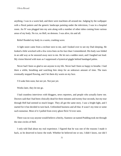anything. I was in a warm bed, and there were machines all around me. Judging by the wallpaper with a floral pattern and the generic landscape painting under the television, I was in a hospital room. An IV was plugged into my arm along with a number of other tubes coming from various areas of my body. No ice, no Hell, no demons. I was alive, tits and all.

Relief flooded my body in a warm, crashing wave.

A light snore came from a recliner next to me, and I looked over to see my Dad sleeping. He looked a little wrecked with a few extra lines on his face than I remembered. His body was folded in an odd way as he snoozed away next to me. He let out a sudden snort, and I laughed out loud. My vision blurred with tears as I suppressed a hysterical giggle behind bandaged palms.

Never had I been so glad to see anyone in my life. Never had I been so happy to breathe. I laid there a while, breathing and watching him sleep for an unknown amount of time. The tears eventually stopped flowing, and I let them dry warm on my face.

I'd wake him soon, but not yet. Not just yet.

Weeks later, they let me go.

I had countless interviews with bloggers, news reporters, and people who actually knew me. Doctors said that I had been clinically dead for three minutes and twenty four seconds, but my tour through Hell had seemed so much longer. They all got the same story. I saw a bright light, and I started for it but decided to turn back. Unfinished business and all that. It wasn't my time or some such nonsense. Most of it I pulled from every ghost flick I'd ever seen.

There was no way anyone would believe a bitchy, Siamese cat named Pudding took me through the nine circles of Hell.

I only told Dad about my real experience. I figured that he was one of the reasons I made it back, so he deserved to know the truth. Whether he believed me or not, I didn't know, nor did I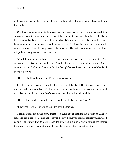really care. No matter what he believed, he was ecstatic to hear I wanted to move home with him for a while.

One thing was for sure though, he was just as taken aback as I was when a tiny Siamese kitten approached us while he was wheeling me out of the hospital. She had waited until our car had been brought around and the orderly was taking the wheelchair from me. I stood like a trembling fawn, hanging onto the car for support, when I spotted that familiar, fuzzy face in the nearby shrubs. It was her, no doubt. A much younger version, but it was her. The notion wasn't a sane one, but those things didn't really seem to matter anymore.

With little more than a gallop, the tiny thing ran from the landscaped bushes to my feet. She stopped there, looked up at me, and mewed. I smiled down at her, and with a little stiffness, I bent down to pick up the kitten. She didn't flinch at being lifted and butted my mouth with her head gently in greeting.

"Hi there, Pudding. I didn't think I'd get to see you again."

I held her to my face, and she rubbed my cheek with her head. Her tiny nose daubed wet triangles against my skin. Dad smiled in awe as he helped me into the passenger seat. He rounded the old car and settled into the driver's seat after scratching the kitten behind the ear.

"Do you think you have room for me and Pudding at the lake house, Daddy?"

"I don't see why not," he said as he petted her little forehead.

The kitten circled in my lap a few times before curling up and settling into a warm ball. Daddy smiled as he put the car into gear and followed the paved driveway out onto the freeway. It guided us on a long journey through piney forests, the grey road like a knife slicing through the endless trees. We were about ten minutes from the hospital when a sudden realization hit me.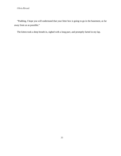"Pudding, I hope you will understand that your litter box is going to go in the basement, as far away from us as possible."

The kitten took a deep breath in, sighed with a long purr, and promptly farted in my lap.